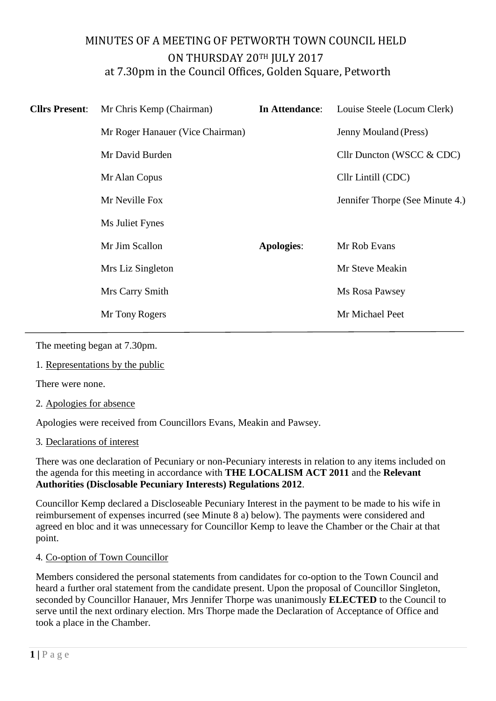# MINUTES OF A MEETING OF PETWORTH TOWN COUNCIL HELD ON THURSDAY 20TH JULY 2017 at 7.30pm in the Council Offices, Golden Square, Petworth

| <b>Cllrs Present:</b> | Mr Chris Kemp (Chairman)         | In Attendance:    | Louise Steele (Locum Clerk)     |
|-----------------------|----------------------------------|-------------------|---------------------------------|
|                       | Mr Roger Hanauer (Vice Chairman) |                   | Jenny Mouland (Press)           |
|                       | Mr David Burden                  |                   | Cllr Duncton (WSCC & CDC)       |
|                       | Mr Alan Copus                    |                   | Cllr Lintill (CDC)              |
|                       | Mr Neville Fox                   |                   | Jennifer Thorpe (See Minute 4.) |
|                       | Ms Juliet Fynes                  |                   |                                 |
|                       | Mr Jim Scallon                   | <b>Apologies:</b> | Mr Rob Evans                    |
|                       | Mrs Liz Singleton                |                   | Mr Steve Meakin                 |
|                       | Mrs Carry Smith                  |                   | Ms Rosa Pawsey                  |
|                       | Mr Tony Rogers                   |                   | Mr Michael Peet                 |

The meeting began at 7.30pm.

1. Representations by the public

There were none.

2. Apologies for absence

Apologies were received from Councillors Evans, Meakin and Pawsey.

3. Declarations of interest

There was one declaration of Pecuniary or non-Pecuniary interests in relation to any items included on the agenda for this meeting in accordance with **THE LOCALISM ACT 2011** and the **Relevant Authorities (Disclosable Pecuniary Interests) Regulations 2012**.

Councillor Kemp declared a Discloseable Pecuniary Interest in the payment to be made to his wife in reimbursement of expenses incurred (see Minute 8 a) below). The payments were considered and agreed en bloc and it was unnecessary for Councillor Kemp to leave the Chamber or the Chair at that point.

### 4. Co-option of Town Councillor

Members considered the personal statements from candidates for co-option to the Town Council and heard a further oral statement from the candidate present. Upon the proposal of Councillor Singleton, seconded by Councillor Hanauer, Mrs Jennifer Thorpe was unanimously **ELECTED** to the Council to serve until the next ordinary election. Mrs Thorpe made the Declaration of Acceptance of Office and took a place in the Chamber.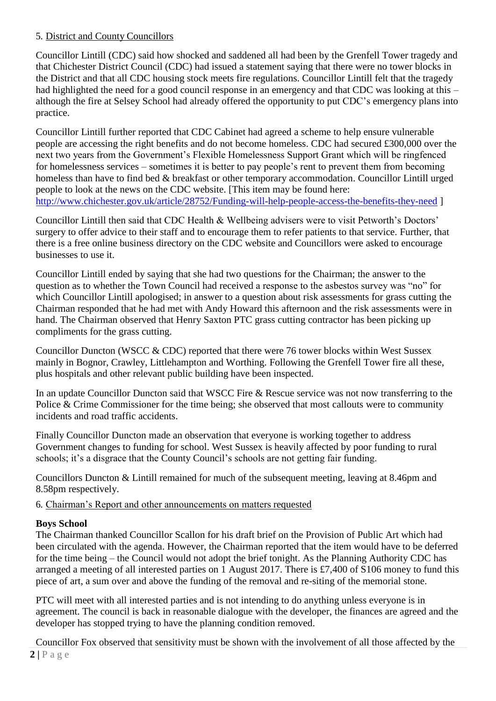## 5. District and County Councillors

Councillor Lintill (CDC) said how shocked and saddened all had been by the Grenfell Tower tragedy and that Chichester District Council (CDC) had issued a statement saying that there were no tower blocks in the District and that all CDC housing stock meets fire regulations. Councillor Lintill felt that the tragedy had highlighted the need for a good council response in an emergency and that CDC was looking at this – although the fire at Selsey School had already offered the opportunity to put CDC's emergency plans into practice.

Councillor Lintill further reported that CDC Cabinet had agreed a scheme to help ensure vulnerable people are accessing the right benefits and do not become homeless. CDC had secured £300,000 over the next two years from the Government's Flexible Homelessness Support Grant which will be ringfenced for homelessness services – sometimes it is better to pay people's rent to prevent them from becoming homeless than have to find bed & breakfast or other temporary accommodation. Councillor Lintill urged people to look at the news on the CDC website. [This item may be found here: <http://www.chichester.gov.uk/article/28752/Funding-will-help-people-access-the-benefits-they-need> ]

Councillor Lintill then said that CDC Health & Wellbeing advisers were to visit Petworth's Doctors' surgery to offer advice to their staff and to encourage them to refer patients to that service. Further, that there is a free online business directory on the CDC website and Councillors were asked to encourage businesses to use it.

Councillor Lintill ended by saying that she had two questions for the Chairman; the answer to the question as to whether the Town Council had received a response to the asbestos survey was "no" for which Councillor Lintill apologised; in answer to a question about risk assessments for grass cutting the Chairman responded that he had met with Andy Howard this afternoon and the risk assessments were in hand. The Chairman observed that Henry Saxton PTC grass cutting contractor has been picking up compliments for the grass cutting.

Councillor Duncton (WSCC & CDC) reported that there were 76 tower blocks within West Sussex mainly in Bognor, Crawley, Littlehampton and Worthing. Following the Grenfell Tower fire all these, plus hospitals and other relevant public building have been inspected.

In an update Councillor Duncton said that WSCC Fire & Rescue service was not now transferring to the Police & Crime Commissioner for the time being; she observed that most callouts were to community incidents and road traffic accidents.

Finally Councillor Duncton made an observation that everyone is working together to address Government changes to funding for school. West Sussex is heavily affected by poor funding to rural schools; it's a disgrace that the County Council's schools are not getting fair funding.

Councillors Duncton & Lintill remained for much of the subsequent meeting, leaving at 8.46pm and 8.58pm respectively.

6. Chairman's Report and other announcements on matters requested

## **Boys School**

The Chairman thanked Councillor Scallon for his draft brief on the Provision of Public Art which had been circulated with the agenda. However, the Chairman reported that the item would have to be deferred for the time being – the Council would not adopt the brief tonight. As the Planning Authority CDC has arranged a meeting of all interested parties on 1 August 2017. There is £7,400 of S106 money to fund this piece of art, a sum over and above the funding of the removal and re-siting of the memorial stone.

PTC will meet with all interested parties and is not intending to do anything unless everyone is in agreement. The council is back in reasonable dialogue with the developer, the finances are agreed and the developer has stopped trying to have the planning condition removed.

 $2 | P a g e$ Councillor Fox observed that sensitivity must be shown with the involvement of all those affected by the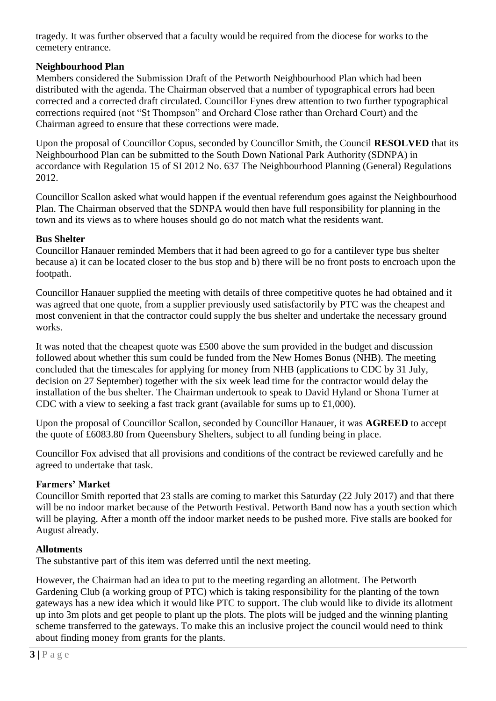tragedy. It was further observed that a faculty would be required from the diocese for works to the cemetery entrance.

## **Neighbourhood Plan**

Members considered the Submission Draft of the Petworth Neighbourhood Plan which had been distributed with the agenda. The Chairman observed that a number of typographical errors had been corrected and a corrected draft circulated. Councillor Fynes drew attention to two further typographical corrections required (not "St Thompson" and Orchard Close rather than Orchard Court) and the Chairman agreed to ensure that these corrections were made.

Upon the proposal of Councillor Copus, seconded by Councillor Smith, the Council **RESOLVED** that its Neighbourhood Plan can be submitted to the South Down National Park Authority (SDNPA) in accordance with Regulation 15 of SI 2012 No. 637 The Neighbourhood Planning (General) Regulations 2012.

Councillor Scallon asked what would happen if the eventual referendum goes against the Neighbourhood Plan. The Chairman observed that the SDNPA would then have full responsibility for planning in the town and its views as to where houses should go do not match what the residents want.

## **Bus Shelter**

Councillor Hanauer reminded Members that it had been agreed to go for a cantilever type bus shelter because a) it can be located closer to the bus stop and b) there will be no front posts to encroach upon the footpath.

Councillor Hanauer supplied the meeting with details of three competitive quotes he had obtained and it was agreed that one quote, from a supplier previously used satisfactorily by PTC was the cheapest and most convenient in that the contractor could supply the bus shelter and undertake the necessary ground works.

It was noted that the cheapest quote was £500 above the sum provided in the budget and discussion followed about whether this sum could be funded from the New Homes Bonus (NHB). The meeting concluded that the timescales for applying for money from NHB (applications to CDC by 31 July, decision on 27 September) together with the six week lead time for the contractor would delay the installation of the bus shelter. The Chairman undertook to speak to David Hyland or Shona Turner at CDC with a view to seeking a fast track grant (available for sums up to £1,000).

Upon the proposal of Councillor Scallon, seconded by Councillor Hanauer, it was **AGREED** to accept the quote of £6083.80 from Queensbury Shelters, subject to all funding being in place.

Councillor Fox advised that all provisions and conditions of the contract be reviewed carefully and he agreed to undertake that task.

## **Farmers' Market**

Councillor Smith reported that 23 stalls are coming to market this Saturday (22 July 2017) and that there will be no indoor market because of the Petworth Festival. Petworth Band now has a youth section which will be playing. After a month off the indoor market needs to be pushed more. Five stalls are booked for August already.

### **Allotments**

The substantive part of this item was deferred until the next meeting.

However, the Chairman had an idea to put to the meeting regarding an allotment. The Petworth Gardening Club (a working group of PTC) which is taking responsibility for the planting of the town gateways has a new idea which it would like PTC to support. The club would like to divide its allotment up into 3m plots and get people to plant up the plots. The plots will be judged and the winning planting scheme transferred to the gateways. To make this an inclusive project the council would need to think about finding money from grants for the plants.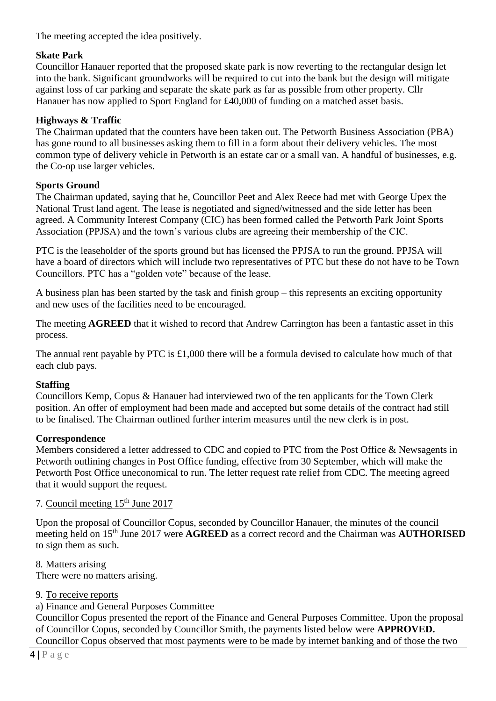The meeting accepted the idea positively.

## **Skate Park**

Councillor Hanauer reported that the proposed skate park is now reverting to the rectangular design let into the bank. Significant groundworks will be required to cut into the bank but the design will mitigate against loss of car parking and separate the skate park as far as possible from other property. Cllr Hanauer has now applied to Sport England for £40,000 of funding on a matched asset basis.

## **Highways & Traffic**

The Chairman updated that the counters have been taken out. The Petworth Business Association (PBA) has gone round to all businesses asking them to fill in a form about their delivery vehicles. The most common type of delivery vehicle in Petworth is an estate car or a small van. A handful of businesses, e.g. the Co-op use larger vehicles.

## **Sports Ground**

The Chairman updated, saying that he, Councillor Peet and Alex Reece had met with George Upex the National Trust land agent. The lease is negotiated and signed/witnessed and the side letter has been agreed. A Community Interest Company (CIC) has been formed called the Petworth Park Joint Sports Association (PPJSA) and the town's various clubs are agreeing their membership of the CIC.

PTC is the leaseholder of the sports ground but has licensed the PPJSA to run the ground. PPJSA will have a board of directors which will include two representatives of PTC but these do not have to be Town Councillors. PTC has a "golden vote" because of the lease.

A business plan has been started by the task and finish group – this represents an exciting opportunity and new uses of the facilities need to be encouraged.

The meeting **AGREED** that it wished to record that Andrew Carrington has been a fantastic asset in this process.

The annual rent payable by PTC is £1,000 there will be a formula devised to calculate how much of that each club pays.

### **Staffing**

Councillors Kemp, Copus & Hanauer had interviewed two of the ten applicants for the Town Clerk position. An offer of employment had been made and accepted but some details of the contract had still to be finalised. The Chairman outlined further interim measures until the new clerk is in post.

### **Correspondence**

Members considered a letter addressed to CDC and copied to PTC from the Post Office & Newsagents in Petworth outlining changes in Post Office funding, effective from 30 September, which will make the Petworth Post Office uneconomical to run. The letter request rate relief from CDC. The meeting agreed that it would support the request.

## 7. Council meeting 15<sup>th</sup> June 2017

Upon the proposal of Councillor Copus, seconded by Councillor Hanauer, the minutes of the council meeting held on 15th June 2017 were **AGREED** as a correct record and the Chairman was **AUTHORISED** to sign them as such.

8. Matters arising

There were no matters arising.

9. To receive reports

a) Finance and General Purposes Committee

Councillor Copus presented the report of the Finance and General Purposes Committee. Upon the proposal of Councillor Copus, seconded by Councillor Smith, the payments listed below were **APPROVED.** Councillor Copus observed that most payments were to be made by internet banking and of those the two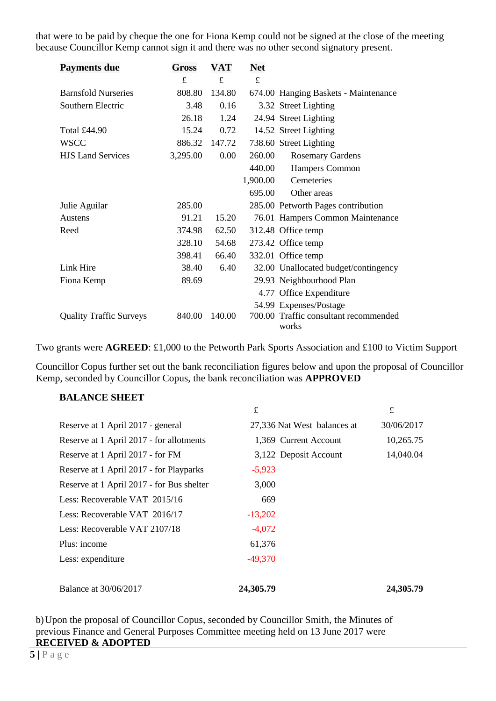that were to be paid by cheque the one for Fiona Kemp could not be signed at the close of the meeting because Councillor Kemp cannot sign it and there was no other second signatory present.

| <b>Payments due</b>            | Gross    | VAT    | <b>Net</b> |                                       |
|--------------------------------|----------|--------|------------|---------------------------------------|
|                                | £        | £      | £          |                                       |
| <b>Barnsfold Nurseries</b>     | 808.80   | 134.80 |            | 674.00 Hanging Baskets - Maintenance  |
| Southern Electric              | 3.48     | 0.16   |            | 3.32 Street Lighting                  |
|                                | 26.18    | 1.24   |            | 24.94 Street Lighting                 |
| Total £44.90                   | 15.24    | 0.72   |            | 14.52 Street Lighting                 |
| <b>WSCC</b>                    | 886.32   | 147.72 |            | 738.60 Street Lighting                |
| <b>HJS Land Services</b>       | 3,295.00 | 0.00   | 260.00     | <b>Rosemary Gardens</b>               |
|                                |          |        | 440.00     | Hampers Common                        |
|                                |          |        | 1,900.00   | Cemeteries                            |
|                                |          |        | 695.00     | Other areas                           |
| Julie Aguilar                  | 285.00   |        |            | 285.00 Petworth Pages contribution    |
| Austens                        | 91.21    | 15.20  |            | 76.01 Hampers Common Maintenance      |
| Reed                           | 374.98   | 62.50  |            | 312.48 Office temp                    |
|                                | 328.10   | 54.68  |            | 273.42 Office temp                    |
|                                | 398.41   | 66.40  |            | 332.01 Office temp                    |
| Link Hire                      | 38.40    | 6.40   |            | 32.00 Unallocated budget/contingency  |
| Fiona Kemp                     | 89.69    |        |            | 29.93 Neighbourhood Plan              |
|                                |          |        |            | 4.77 Office Expenditure               |
|                                |          |        |            | 54.99 Expenses/Postage                |
| <b>Quality Traffic Surveys</b> | 840.00   | 140.00 |            | 700.00 Traffic consultant recommended |
|                                |          |        |            | works                                 |

Two grants were **AGREED**: £1,000 to the Petworth Park Sports Association and £100 to Victim Support

Councillor Copus further set out the bank reconciliation figures below and upon the proposal of Councillor Kemp, seconded by Councillor Copus, the bank reconciliation was **APPROVED**

#### **BALANCE SHEET**

|                                           | £                           | £          |
|-------------------------------------------|-----------------------------|------------|
| Reserve at 1 April 2017 - general         | 27,336 Nat West balances at | 30/06/2017 |
| Reserve at 1 April 2017 - for allotments  | 1,369 Current Account       | 10,265.75  |
| Reserve at 1 April 2017 - for FM          | 3,122 Deposit Account       | 14,040.04  |
| Reserve at 1 April 2017 - for Playparks   | $-5,923$                    |            |
| Reserve at 1 April 2017 - for Bus shelter | 3,000                       |            |
| Less: Recoverable VAT 2015/16             | 669                         |            |
| Less: Recoverable VAT 2016/17             | $-13,202$                   |            |
| Less: Recoverable VAT 2107/18             | $-4,072$                    |            |
| Plus: income                              | 61,376                      |            |
| Less: expenditure                         | $-49,370$                   |            |
| <b>Balance at 30/06/2017</b>              | 24,305.79                   | 24,305.79  |

b)Upon the proposal of Councillor Copus, seconded by Councillor Smith, the Minutes of previous Finance and General Purposes Committee meeting held on 13 June 2017 were **RECEIVED & ADOPTED**